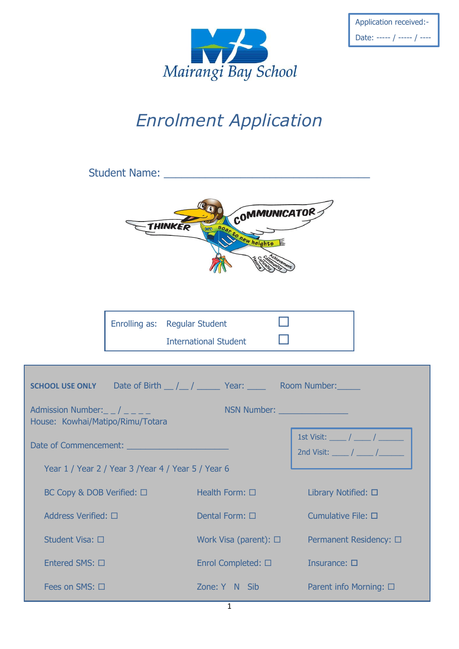

| Application received:-     |
|----------------------------|
| Date: ----- / ----- / ---- |

----

## *Enrolment Application*

| Student Name: University of the Community of the Community of the Community of the Community of the Community of the Community of the Community of the Community of the Community of the Community of the Community of the Com                                                                                                                                                                                   |  |                                                     |                             |  |
|------------------------------------------------------------------------------------------------------------------------------------------------------------------------------------------------------------------------------------------------------------------------------------------------------------------------------------------------------------------------------------------------------------------|--|-----------------------------------------------------|-----------------------------|--|
|                                                                                                                                                                                                                                                                                                                                                                                                                  |  | COMMUNICATOR<br>THINKER<br>soar to hew heights      |                             |  |
|                                                                                                                                                                                                                                                                                                                                                                                                                  |  | Enrolling as: Regular Student                       |                             |  |
|                                                                                                                                                                                                                                                                                                                                                                                                                  |  | <b>International Student</b>                        |                             |  |
| <b>SCHOOL USE ONLY</b> Date of Birth $\angle$ / $\angle$ / $\angle$ Year: $\angle$ Room Number:<br>NSN Number: National Property of the Magnetic Property of the Magnetic Property of the Magnetic Property of the Magnetic Property of the Magnetic Property of the Magnetic Property of the Magnetic Property of the Magnetic P<br>Admission Number: $\_$ / $\_$ $\_$ $\_$<br>House: Kowhai/Matipo/Rimu/Totara |  |                                                     |                             |  |
| 1st Visit: _____ / _____ / _______                                                                                                                                                                                                                                                                                                                                                                               |  |                                                     |                             |  |
| 2nd Visit: $\frac{1}{\sqrt{1-\frac{1}{2}}}\sqrt{1-\frac{1}{2}}$<br>Year 1 / Year 2 / Year 3 / Year 4 / Year 5 / Year 6                                                                                                                                                                                                                                                                                           |  |                                                     |                             |  |
|                                                                                                                                                                                                                                                                                                                                                                                                                  |  | $BC Copy \& DOB Verified: \Box$ Health Form: $\Box$ | Library Notified: $\square$ |  |
| Address Verified: □<br>Dental Form: $\square$                                                                                                                                                                                                                                                                                                                                                                    |  | Cumulative File: □                                  |                             |  |
| Student Visa: □<br>Work Visa (parent): $\square$<br>Permanent Residency: □                                                                                                                                                                                                                                                                                                                                       |  |                                                     |                             |  |
| Entered SMS: □                                                                                                                                                                                                                                                                                                                                                                                                   |  | Enrol Completed: □                                  | Insurance: $\square$        |  |
| Fees on SMS: $\square$<br>Zone: Y N Sib<br>Parent info Morning: $\square$                                                                                                                                                                                                                                                                                                                                        |  |                                                     |                             |  |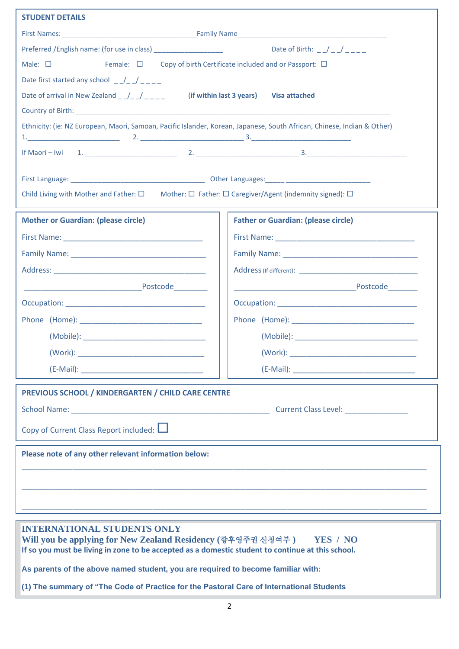| <b>STUDENT DETAILS</b>                                                                                                                                                     |                                                                                  |  |  |
|----------------------------------------------------------------------------------------------------------------------------------------------------------------------------|----------------------------------------------------------------------------------|--|--|
|                                                                                                                                                                            |                                                                                  |  |  |
|                                                                                                                                                                            |                                                                                  |  |  |
| Female: $\square$ Copy of birth Certificate included and or Passport: $\square$<br>Male: $\square$                                                                         |                                                                                  |  |  |
| Date first started any school $\frac{1}{2}$ $\frac{1}{2}$ $\frac{1}{2}$ $\frac{1}{2}$ $\frac{1}{2}$                                                                        |                                                                                  |  |  |
| Date of arrival in New Zealand $\frac{1}{2}$ $\frac{1}{2}$ $\frac{1}{2}$<br>(if within last 3 years)<br><b>Visa attached</b>                                               |                                                                                  |  |  |
|                                                                                                                                                                            |                                                                                  |  |  |
| Ethnicity: (ie: NZ European, Maori, Samoan, Pacific Islander, Korean, Japanese, South African, Chinese, Indian & Other)                                                    |                                                                                  |  |  |
|                                                                                                                                                                            |                                                                                  |  |  |
|                                                                                                                                                                            |                                                                                  |  |  |
| Child Living with Mother and Father: $\square$ Mother: $\square$ Father: $\square$ Caregiver/Agent (indemnity signed): $\square$                                           |                                                                                  |  |  |
| <b>Mother or Guardian: (please circle)</b>                                                                                                                                 | <b>Father or Guardian: (please circle)</b>                                       |  |  |
|                                                                                                                                                                            |                                                                                  |  |  |
|                                                                                                                                                                            |                                                                                  |  |  |
|                                                                                                                                                                            |                                                                                  |  |  |
|                                                                                                                                                                            |                                                                                  |  |  |
|                                                                                                                                                                            |                                                                                  |  |  |
|                                                                                                                                                                            |                                                                                  |  |  |
|                                                                                                                                                                            |                                                                                  |  |  |
| (Work):                                                                                                                                                                    | (Work):                                                                          |  |  |
|                                                                                                                                                                            |                                                                                  |  |  |
| PREVIOUS SCHOOL / KINDERGARTEN / CHILD CARE CENTRE                                                                                                                         |                                                                                  |  |  |
|                                                                                                                                                                            |                                                                                  |  |  |
| Copy of Current Class Report included: $\Box$                                                                                                                              |                                                                                  |  |  |
| Please note of any other relevant information below:                                                                                                                       |                                                                                  |  |  |
|                                                                                                                                                                            | ,我们也不能在这里的时候,我们也不能在这里的时候,我们也不能会在这里的时候,我们也不能会在这里的时候,我们也不能会在这里的时候,我们也不能会在这里的时候,我们也 |  |  |
|                                                                                                                                                                            |                                                                                  |  |  |
|                                                                                                                                                                            |                                                                                  |  |  |
| <b>INTERNATIONAL STUDENTS ONLY</b>                                                                                                                                         |                                                                                  |  |  |
| Will you be applying for New Zealand Residency (향후영주권 신청여부 ) YES / NO<br>If so you must be living in zone to be accepted as a domestic student to continue at this school. |                                                                                  |  |  |
| As parents of the above named student, you are required to become familiar with:                                                                                           |                                                                                  |  |  |

**(1) The summary of "The Code of Practice for the Pastoral Care of International Students**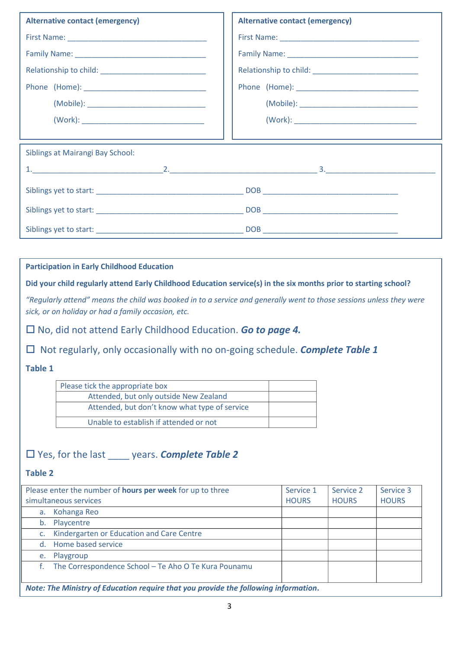| <b>Alternative contact (emergency)</b> | <b>Alternative contact (emergency)</b> |  |  |
|----------------------------------------|----------------------------------------|--|--|
|                                        |                                        |  |  |
|                                        |                                        |  |  |
|                                        |                                        |  |  |
|                                        |                                        |  |  |
|                                        |                                        |  |  |
|                                        |                                        |  |  |
|                                        |                                        |  |  |
| Siblings at Mairangi Bay School:       |                                        |  |  |
|                                        |                                        |  |  |
|                                        |                                        |  |  |
|                                        |                                        |  |  |
|                                        |                                        |  |  |

**Participation in Early Childhood Education**

**Did your child regularly attend Early Childhood Education service(s) in the six months prior to starting school?**

*"Regularly attend" means the child was booked in to a service and generally went to those sessions unless they were sick, or on holiday or had a family occasion, etc.*

No, did not attend Early Childhood Education. *Go to page 4.*

□ Not regularly, only occasionally with no on-going schedule. **Complete Table 1** 

## **Table 1**

| Please tick the appropriate box               |  |
|-----------------------------------------------|--|
| Attended, but only outside New Zealand        |  |
| Attended, but don't know what type of service |  |
| Unable to establish if attended or not        |  |

## Yes, for the last \_\_\_\_ years. *Complete Table 2*

## **Table 2**

| Please enter the number of <b>hours per week</b> for up to three                   |                                                      | Service 1    | Service 2    | Service 3    |
|------------------------------------------------------------------------------------|------------------------------------------------------|--------------|--------------|--------------|
| simultaneous services                                                              |                                                      | <b>HOURS</b> | <b>HOURS</b> | <b>HOURS</b> |
| a.                                                                                 | Kohanga Reo                                          |              |              |              |
|                                                                                    | b. Playcentre                                        |              |              |              |
|                                                                                    | Kindergarten or Education and Care Centre            |              |              |              |
|                                                                                    | d. Home based service                                |              |              |              |
|                                                                                    | e. Playgroup                                         |              |              |              |
|                                                                                    | The Correspondence School - Te Aho O Te Kura Pounamu |              |              |              |
|                                                                                    |                                                      |              |              |              |
| Nata: The Minister of Education require that you nearide the following information |                                                      |              |              |              |

*Note: The Ministry of Education require that you provide the following information***.**